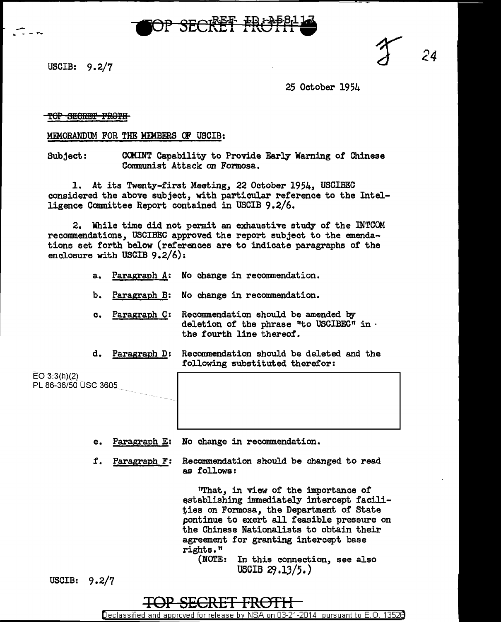

USCIB: 9.2/7

 $\sum_{s=1}$ 

*24* 

25 October 1954

## TOP SECRET FROTH

MEMORANDUM FOR THE MEMBERS OF USCIB:

Subject: CCMINT Capability to Provide Early Waming or Chinese Communist Attack on Formosa.

1. At its Twenty-first Meeting, 22 October 1954, USCIBEC considered the above subject, with particular reference to the Intelligence Committee Report contained in USCIB 9.2/6.

2. While time did not permit an exhaustive study of the INTCOM recommendations, USCIBEC approved the report subject to the emendations set forth below (references are to indicate paragraphs of the enclosure with USCIB 9.2/6):

- a. Paragraph A: No change in recommendation.
- b. Paragraph B: No change in recommendation.
- c. Paragraph C: Recommendation should be amended by deletion of the phrase "to USCIBEC" in  $\cdot$  the fourth line thereof.
- d. Paragraph D: Recommendation should be deleted and the following substituted therefor:

E03:3(h)(2) PL 86-36/50 USC 3605

- e. Paragraph E: No change in recommendation.
- f. Paragraph F: Recommendation should be changed to read as follows:

"That, in view of the importance of establishing immediately intercept facilities on Formosa, the Department of State pontinue to exert all feasible pressure on the Chinese Nationalists to obtain their agreement for granting intercept base rj.ghts."

(NOTE: In this connection, see also USCIB 29 .13/5.)

USCIB: 9.2/7



Declassified and approved for release by NSA on 03-21-2014 pursuant to E. 0. 1352B